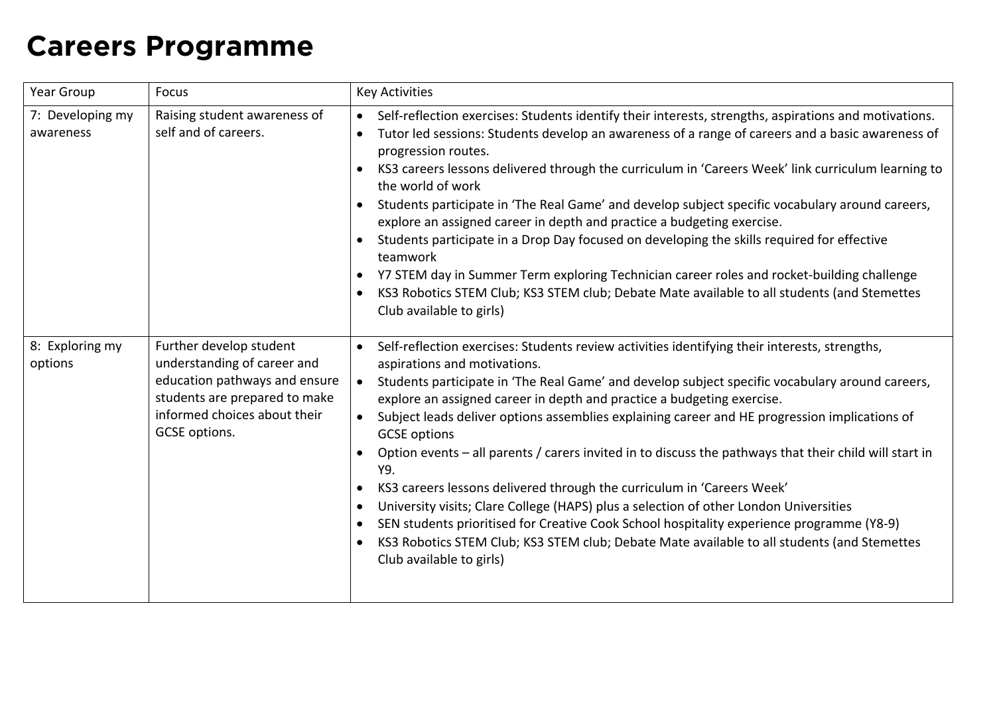## **Careers Programme**

| Year Group                    | Focus                                                                                                                                                                     | <b>Key Activities</b>                                                                                                                                                                                                                                                                                                                                                                                                                                                                                                                                                                                                                                                                                                                                                                                                                                                                                                                                                                 |
|-------------------------------|---------------------------------------------------------------------------------------------------------------------------------------------------------------------------|---------------------------------------------------------------------------------------------------------------------------------------------------------------------------------------------------------------------------------------------------------------------------------------------------------------------------------------------------------------------------------------------------------------------------------------------------------------------------------------------------------------------------------------------------------------------------------------------------------------------------------------------------------------------------------------------------------------------------------------------------------------------------------------------------------------------------------------------------------------------------------------------------------------------------------------------------------------------------------------|
| 7: Developing my<br>awareness | Raising student awareness of<br>self and of careers.                                                                                                                      | Self-reflection exercises: Students identify their interests, strengths, aspirations and motivations.<br>$\bullet$<br>Tutor led sessions: Students develop an awareness of a range of careers and a basic awareness of<br>$\bullet$<br>progression routes.<br>KS3 careers lessons delivered through the curriculum in 'Careers Week' link curriculum learning to<br>the world of work<br>Students participate in 'The Real Game' and develop subject specific vocabulary around careers,<br>explore an assigned career in depth and practice a budgeting exercise.<br>Students participate in a Drop Day focused on developing the skills required for effective<br>teamwork<br>Y7 STEM day in Summer Term exploring Technician career roles and rocket-building challenge<br>KS3 Robotics STEM Club; KS3 STEM club; Debate Mate available to all students (and Stemettes<br>Club available to girls)                                                                                 |
| 8: Exploring my<br>options    | Further develop student<br>understanding of career and<br>education pathways and ensure<br>students are prepared to make<br>informed choices about their<br>GCSE options. | Self-reflection exercises: Students review activities identifying their interests, strengths,<br>$\bullet$<br>aspirations and motivations.<br>Students participate in 'The Real Game' and develop subject specific vocabulary around careers,<br>$\bullet$<br>explore an assigned career in depth and practice a budgeting exercise.<br>Subject leads deliver options assemblies explaining career and HE progression implications of<br>$\bullet$<br><b>GCSE</b> options<br>Option events - all parents / carers invited in to discuss the pathways that their child will start in<br>Y9.<br>KS3 careers lessons delivered through the curriculum in 'Careers Week'<br>University visits; Clare College (HAPS) plus a selection of other London Universities<br>SEN students prioritised for Creative Cook School hospitality experience programme (Y8-9)<br>KS3 Robotics STEM Club; KS3 STEM club; Debate Mate available to all students (and Stemettes<br>Club available to girls) |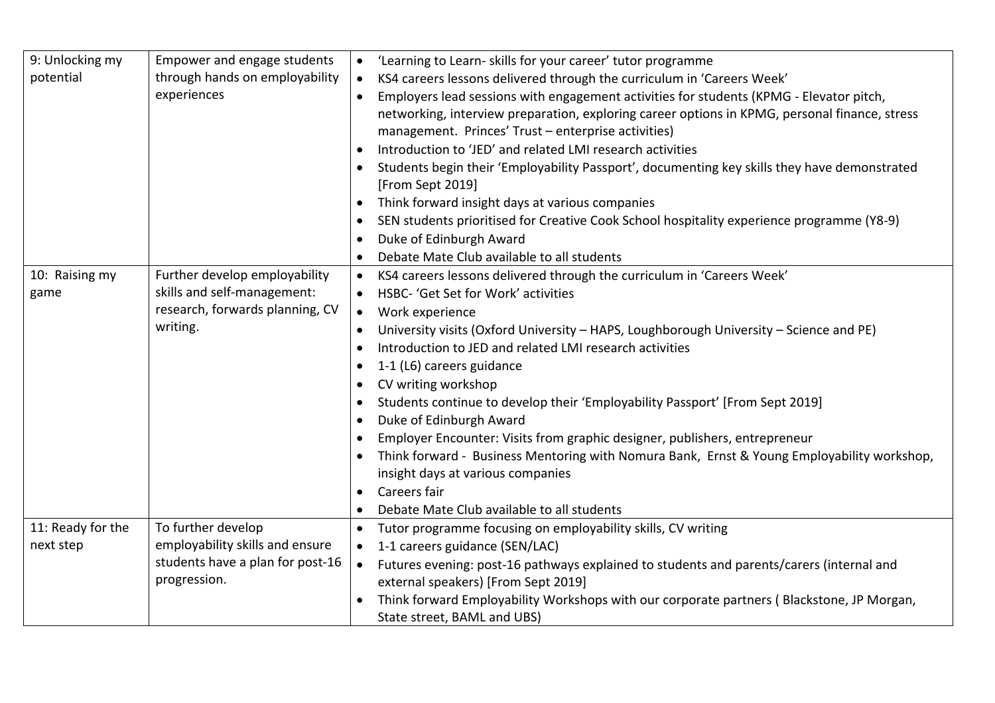| 9: Unlocking my   | Empower and engage students      | 'Learning to Learn- skills for your career' tutor programme<br>$\bullet$                               |
|-------------------|----------------------------------|--------------------------------------------------------------------------------------------------------|
| potential         | through hands on employability   | KS4 careers lessons delivered through the curriculum in 'Careers Week'<br>$\bullet$                    |
|                   | experiences                      | Employers lead sessions with engagement activities for students (KPMG - Elevator pitch,                |
|                   |                                  | networking, interview preparation, exploring career options in KPMG, personal finance, stress          |
|                   |                                  | management. Princes' Trust - enterprise activities)                                                    |
|                   |                                  | Introduction to 'JED' and related LMI research activities                                              |
|                   |                                  | Students begin their 'Employability Passport', documenting key skills they have demonstrated           |
|                   |                                  | [From Sept 2019]                                                                                       |
|                   |                                  | Think forward insight days at various companies<br>$\bullet$                                           |
|                   |                                  | SEN students prioritised for Creative Cook School hospitality experience programme (Y8-9)<br>$\bullet$ |
|                   |                                  | Duke of Edinburgh Award<br>$\bullet$                                                                   |
|                   |                                  | Debate Mate Club available to all students<br>$\bullet$                                                |
| 10: Raising my    | Further develop employability    | KS4 careers lessons delivered through the curriculum in 'Careers Week'<br>$\bullet$                    |
| game              | skills and self-management:      | HSBC- 'Get Set for Work' activities<br>$\bullet$                                                       |
|                   | research, forwards planning, CV  | Work experience<br>$\bullet$                                                                           |
|                   | writing.                         | University visits (Oxford University - HAPS, Loughborough University - Science and PE)<br>$\bullet$    |
|                   |                                  | Introduction to JED and related LMI research activities                                                |
|                   |                                  | 1-1 (L6) careers guidance<br>$\bullet$                                                                 |
|                   |                                  | CV writing workshop<br>$\bullet$                                                                       |
|                   |                                  | Students continue to develop their 'Employability Passport' [From Sept 2019]                           |
|                   |                                  | Duke of Edinburgh Award<br>$\bullet$                                                                   |
|                   |                                  | Employer Encounter: Visits from graphic designer, publishers, entrepreneur<br>$\bullet$                |
|                   |                                  | Think forward - Business Mentoring with Nomura Bank, Ernst & Young Employability workshop,             |
|                   |                                  | insight days at various companies                                                                      |
|                   |                                  | Careers fair<br>$\bullet$                                                                              |
|                   |                                  | Debate Mate Club available to all students<br>$\bullet$                                                |
| 11: Ready for the | To further develop               | Tutor programme focusing on employability skills, CV writing                                           |
| next step         | employability skills and ensure  | 1-1 careers guidance (SEN/LAC)<br>$\bullet$                                                            |
|                   | students have a plan for post-16 | Futures evening: post-16 pathways explained to students and parents/carers (internal and<br>$\bullet$  |
|                   | progression.                     | external speakers) [From Sept 2019]                                                                    |
|                   |                                  | Think forward Employability Workshops with our corporate partners (Blackstone, JP Morgan,              |
|                   |                                  | State street, BAML and UBS)                                                                            |